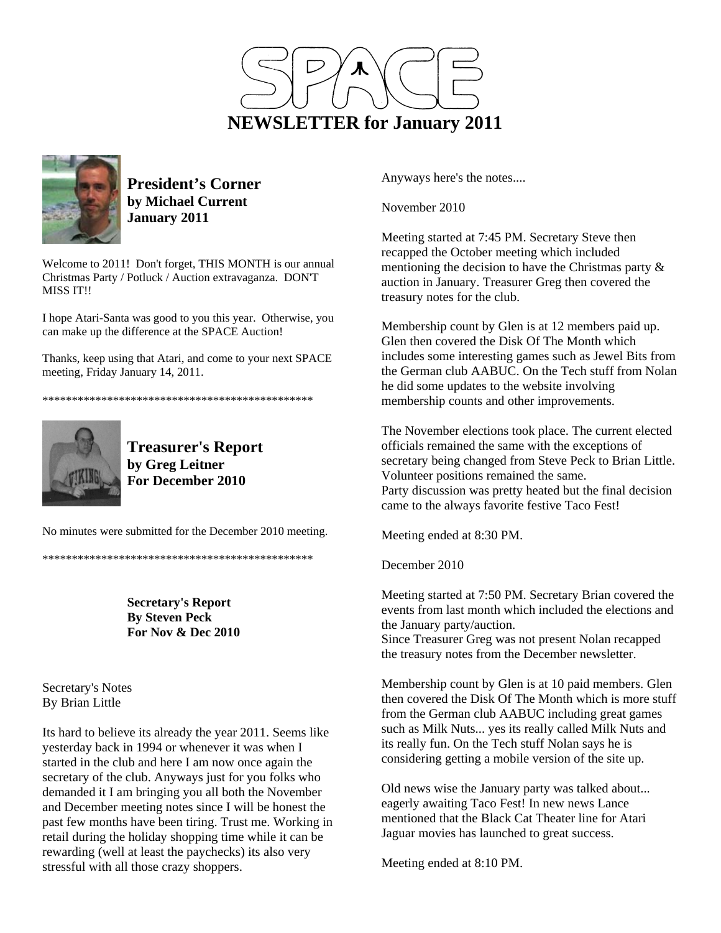



**President's Corner by Michael Current January 2011**

Welcome to 2011! Don't forget, THIS MONTH is our annual Christmas Party / Potluck / Auction extravaganza. DON'T MISS IT!!

I hope Atari-Santa was good to you this year. Otherwise, you can make up the difference at the SPACE Auction!

Thanks, keep using that Atari, and come to your next SPACE meeting, Friday January 14, 2011.

\*\*\*\*\*\*\*\*\*\*\*\*\*\*\*\*\*\*\*\*\*\*\*\*\*\*\*\*\*\*\*\*\*\*\*\*\*\*\*\*\*\*\*\*\*\*



**Treasurer's Report by Greg Leitner For December 2010** 

No minutes were submitted for the December 2010 meeting.

\*\*\*\*\*\*\*\*\*\*\*\*\*\*\*\*\*\*\*\*\*\*\*\*\*\*\*\*\*\*\*\*\*\*\*\*\*\*\*\*\*\*\*\*\*\*

**Secretary's Report By Steven Peck For Nov & Dec 2010** 

Secretary's Notes By Brian Little

Its hard to believe its already the year 2011. Seems like yesterday back in 1994 or whenever it was when I started in the club and here I am now once again the secretary of the club. Anyways just for you folks who demanded it I am bringing you all both the November and December meeting notes since I will be honest the past few months have been tiring. Trust me. Working in retail during the holiday shopping time while it can be rewarding (well at least the paychecks) its also very stressful with all those crazy shoppers.

Anyways here's the notes....

November 2010

Meeting started at 7:45 PM. Secretary Steve then recapped the October meeting which included mentioning the decision to have the Christmas party & auction in January. Treasurer Greg then covered the treasury notes for the club.

Membership count by Glen is at 12 members paid up. Glen then covered the Disk Of The Month which includes some interesting games such as Jewel Bits from the German club AABUC. On the Tech stuff from Nolan he did some updates to the website involving membership counts and other improvements.

The November elections took place. The current elected officials remained the same with the exceptions of secretary being changed from Steve Peck to Brian Little. Volunteer positions remained the same.

Party discussion was pretty heated but the final decision came to the always favorite festive Taco Fest!

Meeting ended at 8:30 PM.

December 2010

Meeting started at 7:50 PM. Secretary Brian covered the events from last month which included the elections and the January party/auction.

Since Treasurer Greg was not present Nolan recapped the treasury notes from the December newsletter.

Membership count by Glen is at 10 paid members. Glen then covered the Disk Of The Month which is more stuff from the German club AABUC including great games such as Milk Nuts... yes its really called Milk Nuts and its really fun. On the Tech stuff Nolan says he is considering getting a mobile version of the site up.

Old news wise the January party was talked about... eagerly awaiting Taco Fest! In new news Lance mentioned that the Black Cat Theater line for Atari Jaguar movies has launched to great success.

Meeting ended at 8:10 PM.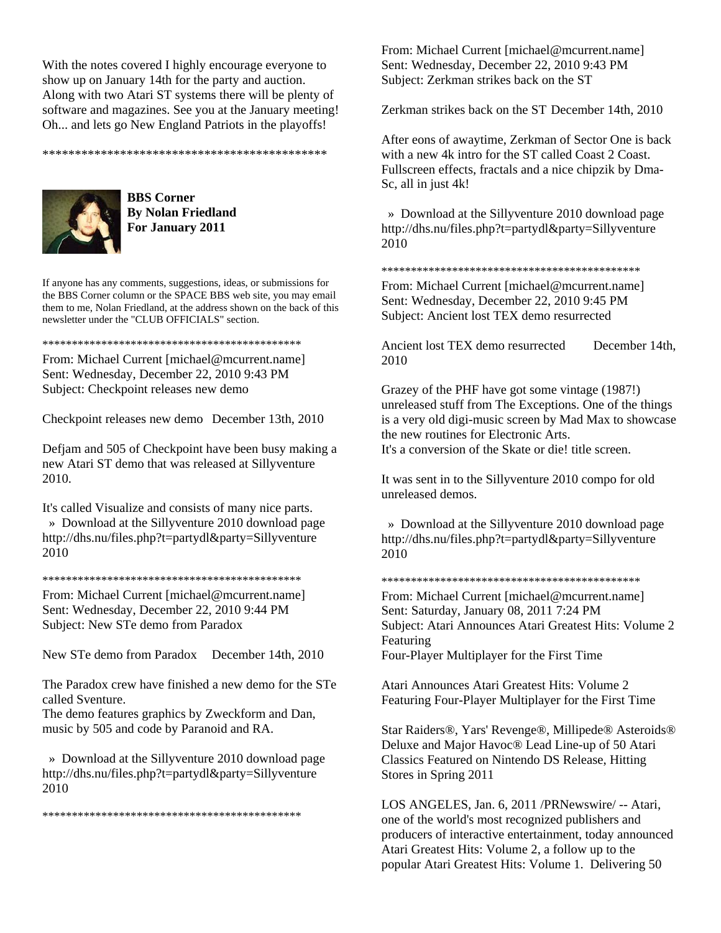With the notes covered I highly encourage everyone to show up on January 14th for the party and auction. Along with two Atari ST systems there will be plenty of software and magazines. See you at the January meeting! Oh... and lets go New England Patriots in the playoffs!

\*\*\*\*\*\*\*\*\*\*\*\*\*\*\*\*\*\*\*\*\*\*\*\*\*\*\*\*\*\*\*\*\*\*\*\*\*\*\*\*\*\*\*\*



**BBS Corner By Nolan Friedland For January 2011** 

If anyone has any comments, suggestions, ideas, or submissions for the BBS Corner column or the SPACE BBS web site, you may email them to me, Nolan Friedland, at the address shown on the back of this newsletter under the "CLUB OFFICIALS" section.

### \*\*\*\*\*\*\*\*\*\*\*\*\*\*\*\*\*\*\*\*\*\*\*\*\*\*\*\*\*\*\*\*\*\*\*\*\*\*\*\*\*\*\*\*

From: Michael Current [michael@mcurrent.name] Sent: Wednesday, December 22, 2010 9:43 PM Subject: Checkpoint releases new demo

Checkpoint releases new demo December 13th, 2010

Defjam and 505 of Checkpoint have been busy making a new Atari ST demo that was released at Sillyventure 2010.

It's called Visualize and consists of many nice parts. » Download at the Sillyventure 2010 download page http://dhs.nu/files.php?t=partydl&party=Sillyventure 2010

#### \*\*\*\*\*\*\*\*\*\*\*\*\*\*\*\*\*\*\*\*\*\*\*\*\*\*\*\*\*\*\*\*\*\*\*\*\*\*\*\*\*\*\*\*

From: Michael Current [michael@mcurrent.name] Sent: Wednesday, December 22, 2010 9:44 PM Subject: New STe demo from Paradox

New STe demo from Paradox December 14th, 2010

The Paradox crew have finished a new demo for the STe called Sventure.

The demo features graphics by Zweckform and Dan, music by 505 and code by Paranoid and RA.

 » Download at the Sillyventure 2010 download page http://dhs.nu/files.php?t=partydl&party=Sillyventure 2010

\*\*\*\*\*\*\*\*\*\*\*\*\*\*\*\*\*\*\*\*\*\*\*\*\*\*\*\*\*\*\*\*\*\*\*\*\*\*\*\*\*\*\*\*

From: Michael Current [michael@mcurrent.name] Sent: Wednesday, December 22, 2010 9:43 PM Subject: Zerkman strikes back on the ST

Zerkman strikes back on the ST December 14th, 2010

After eons of awaytime, Zerkman of Sector One is back with a new 4k intro for the ST called Coast 2 Coast. Fullscreen effects, fractals and a nice chipzik by Dma-Sc, all in just 4k!

 » Download at the Sillyventure 2010 download page http://dhs.nu/files.php?t=partydl&party=Sillyventure 2010

#### \*\*\*\*\*\*\*\*\*\*\*\*\*\*\*\*\*\*\*\*\*\*\*\*\*\*\*\*\*\*\*\*\*\*\*\*\*\*\*\*\*\*\*\*

From: Michael Current [michael@mcurrent.name] Sent: Wednesday, December 22, 2010 9:45 PM Subject: Ancient lost TEX demo resurrected

Ancient lost TEX demo resurrected December 14th, 2010

Grazey of the PHF have got some vintage (1987!) unreleased stuff from The Exceptions. One of the things is a very old digi-music screen by Mad Max to showcase the new routines for Electronic Arts. It's a conversion of the Skate or die! title screen.

It was sent in to the Sillyventure 2010 compo for old unreleased demos.

 » Download at the Sillyventure 2010 download page http://dhs.nu/files.php?t=partydl&party=Sillyventure 2010

#### \*\*\*\*\*\*\*\*\*\*\*\*\*\*\*\*\*\*\*\*\*\*\*\*\*\*\*\*\*\*\*\*\*\*\*\*\*\*\*\*\*\*\*\*

From: Michael Current [michael@mcurrent.name] Sent: Saturday, January 08, 2011 7:24 PM Subject: Atari Announces Atari Greatest Hits: Volume 2 Featuring Four-Player Multiplayer for the First Time

Atari Announces Atari Greatest Hits: Volume 2 Featuring Four-Player Multiplayer for the First Time

Star Raiders®, Yars' Revenge®, Millipede® Asteroids® Deluxe and Major Havoc® Lead Line-up of 50 Atari Classics Featured on Nintendo DS Release, Hitting Stores in Spring 2011

LOS ANGELES, Jan. 6, 2011 /PRNewswire/ -- Atari, one of the world's most recognized publishers and producers of interactive entertainment, today announced Atari Greatest Hits: Volume 2, a follow up to the popular Atari Greatest Hits: Volume 1. Delivering 50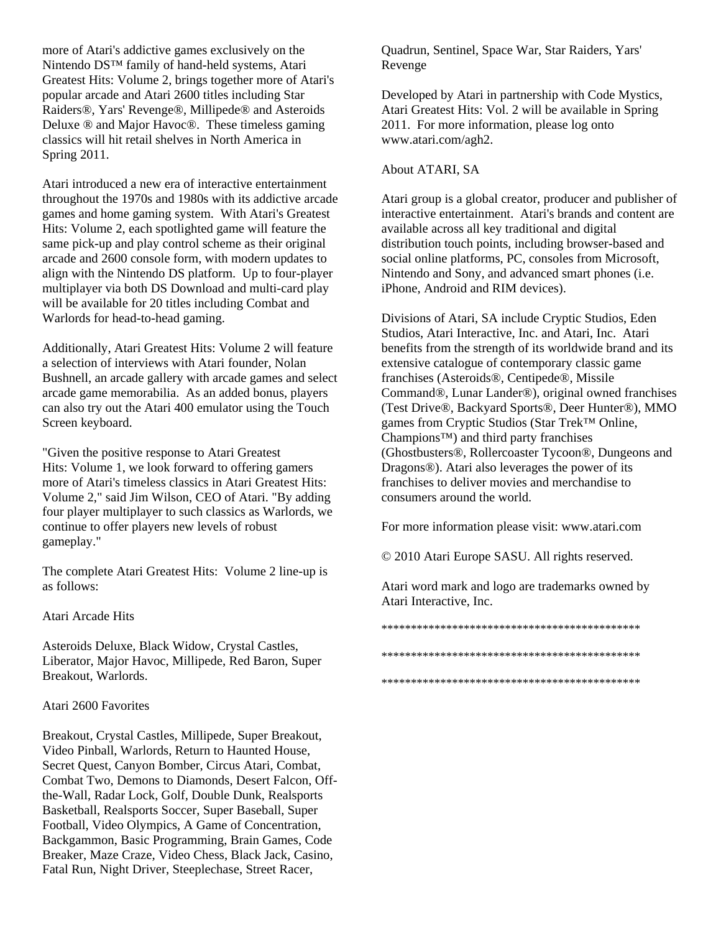more of Atari's addictive games exclusively on the Nintendo DS™ family of hand-held systems, Atari Greatest Hits: Volume 2, brings together more of Atari's popular arcade and Atari 2600 titles including Star Raiders®, Yars' Revenge®, Millipede® and Asteroids Deluxe ® and Major Havoc®. These timeless gaming classics will hit retail shelves in North America in Spring 2011.

Atari introduced a new era of interactive entertainment throughout the 1970s and 1980s with its addictive arcade games and home gaming system. With Atari's Greatest Hits: Volume 2, each spotlighted game will feature the same pick-up and play control scheme as their original arcade and 2600 console form, with modern updates to align with the Nintendo DS platform. Up to four-player multiplayer via both DS Download and multi-card play will be available for 20 titles including Combat and Warlords for head-to-head gaming.

Additionally, Atari Greatest Hits: Volume 2 will feature a selection of interviews with Atari founder, Nolan Bushnell, an arcade gallery with arcade games and select arcade game memorabilia. As an added bonus, players can also try out the Atari 400 emulator using the Touch Screen keyboard.

"Given the positive response to Atari Greatest Hits: Volume 1, we look forward to offering gamers more of Atari's timeless classics in Atari Greatest Hits: Volume 2," said Jim Wilson, CEO of Atari. "By adding four player multiplayer to such classics as Warlords, we continue to offer players new levels of robust gameplay."

The complete Atari Greatest Hits: Volume 2 line-up is as follows:

Atari Arcade Hits

Asteroids Deluxe, Black Widow, Crystal Castles, Liberator, Major Havoc, Millipede, Red Baron, Super Breakout, Warlords.

### Atari 2600 Favorites

Breakout, Crystal Castles, Millipede, Super Breakout, Video Pinball, Warlords, Return to Haunted House, Secret Quest, Canyon Bomber, Circus Atari, Combat, Combat Two, Demons to Diamonds, Desert Falcon, Offthe-Wall, Radar Lock, Golf, Double Dunk, Realsports Basketball, Realsports Soccer, Super Baseball, Super Football, Video Olympics, A Game of Concentration, Backgammon, Basic Programming, Brain Games, Code Breaker, Maze Craze, Video Chess, Black Jack, Casino, Fatal Run, Night Driver, Steeplechase, Street Racer,

Quadrun, Sentinel, Space War, Star Raiders, Yars' Revenge

Developed by Atari in partnership with Code Mystics, Atari Greatest Hits: Vol. 2 will be available in Spring 2011. For more information, please log onto www.atari.com/agh2.

## About ATARI, SA

Atari group is a global creator, producer and publisher of interactive entertainment. Atari's brands and content are available across all key traditional and digital distribution touch points, including browser-based and social online platforms, PC, consoles from Microsoft, Nintendo and Sony, and advanced smart phones (i.e. iPhone, Android and RIM devices).

Divisions of Atari, SA include Cryptic Studios, Eden Studios, Atari Interactive, Inc. and Atari, Inc. Atari benefits from the strength of its worldwide brand and its extensive catalogue of contemporary classic game franchises (Asteroids®, Centipede®, Missile Command®, Lunar Lander®), original owned franchises (Test Drive®, Backyard Sports®, Deer Hunter®), MMO games from Cryptic Studios (Star Trek™ Online, Champions™) and third party franchises (Ghostbusters®, Rollercoaster Tycoon®, Dungeons and Dragons®). Atari also leverages the power of its franchises to deliver movies and merchandise to consumers around the world.

For more information please visit: www.atari.com

© 2010 Atari Europe SASU. All rights reserved.

Atari word mark and logo are trademarks owned by Atari Interactive, Inc.